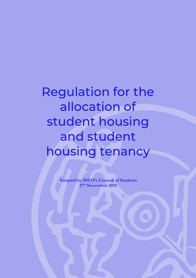# Regulation for the allocation of student housing and student housing tenancy

**Adopted by SSCO's Council of Students 27th November 2019**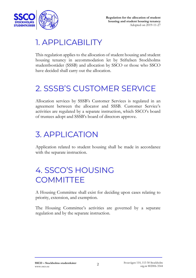

#### 1. APPLICABILITY

This regulation applies to the allocation of student housing and student housing tenancy in accommodation let by Stiftelsen Stockholms studentbostäder (SSSB) and allocation by SSCO or those who SSCO have decided shall carry out the allocation.

### 2. SSSB'S CUSTOMER SERVICE

Allocation services by SSSB's Customer Services is regulated in an agreement between the allocator and SSSB. Customer Service's activities are regulated by a separate instruction, which SSCO's board of trustees adopt and SSSB's board of directors approve.

#### 3. APPLICATION

Application related to student housing shall be made in accordance with the separate instruction.

## 4. SSCO'S HOUSING **COMMITTEE**

A Housing Committee shall exist for deciding upon cases relating to priority, extension, and exemption.

The Housing Committee's activities are governed by a separate regulation and by the separate instruction.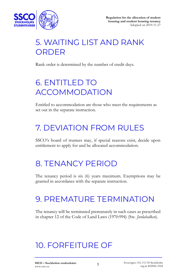

## 5. WAITING LIST AND RANK ORDER

Rank order is determined by the number of credit days.

## 6. ENTITLED TO ACCOMMODATION

Entitled to accommodation are those who meet the requirements as set out in the separate instruction.

## 7. DEVIATION FROM RULES

SSCO's board of trustees may, if special reasons exist, decide upon entitlement to apply for and be allocated accommodation.

#### 8. TENANCY PERIOD

The tenancy period is six (6) years maximum. Exemptions may be granted in accordance with the separate instruction.

#### 9. PREMATURE TERMINATION

The tenancy will be terminated prematurely in such cases as prescribed in chapter 12 of the Code of Land Laws (1970:994) (Sw. *Jordabalken*).

#### 10. FORFEITURE OF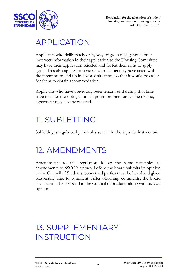

#### APPLICATION

Applicants who deliberately or by way of gross negligence submit incorrect information in their application to the Housing Committee may have their application rejected and forfeit their right to apply again. This also applies to persons who deliberately have acted with the intention to end up in a worse situation, so that it would be easier for them to obtain accommodation.

Applicants who have previously been tenants and during that time have not met their obligations imposed on them under the tenancy agreement may also be rejected.

#### 11. SUBLETTING

Subletting is regulated by the rules set out in the separate instruction.

## 12. AMENDMENTS

Amendments to this regulation follow the same principles as amendments to SSCO's statues. Before the board submits its opinion to the Council of Students, concerned parties must be heard and given reasonable time to comment. After obtaining comments, the board shall submit the proposal to the Council of Students along with its own opinion.

### 13. SUPPLEMENTARY **INSTRUCTION**